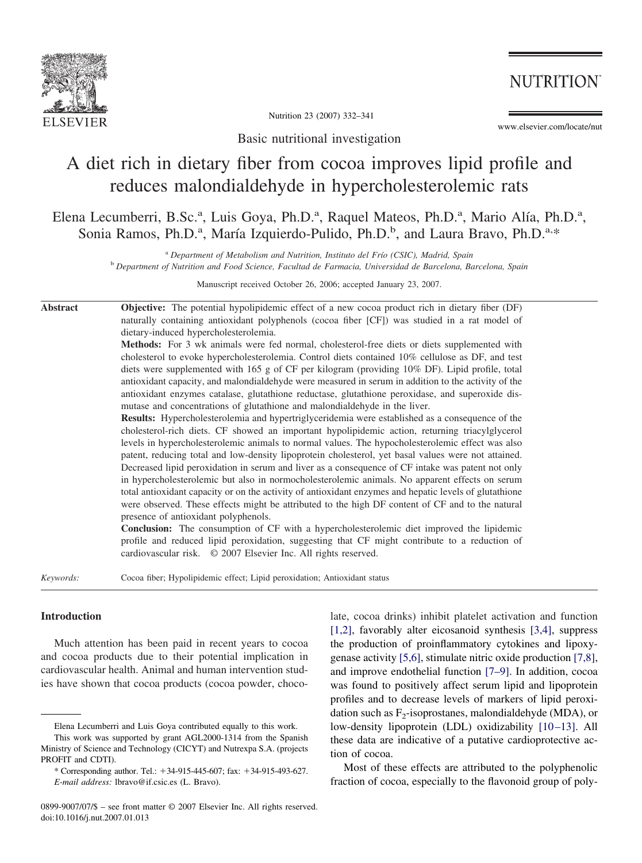

Nutrition 23 (2007) 332–341

www.elsevier.com/locate/nut

**NUTRITION** 

Basic nutritional investigation

# A diet rich in dietary fiber from cocoa improves lipid profile and reduces malondialdehyde in hypercholesterolemic rats

Elena Lecumberri, B.Sc.<sup>a</sup>, Luis Goya, Ph.D.<sup>a</sup>, Raquel Mateos, Ph.D.<sup>a</sup>, Mario Alía, Ph.D.<sup>a</sup>, Sonia Ramos, Ph.D.<sup>a</sup>, María Izquierdo-Pulido, Ph.D.<sup>b</sup>, and Laura Bravo, Ph.D.<sup>a,\*</sup>

<sup>a</sup> *Department of Metabolism and Nutrition, Instituto del Frío (CSIC), Madrid, Spain*

<sup>b</sup> *Department of Nutrition and Food Science, Facultad de Farmacia, Universidad de Barcelona, Barcelona, Spain*

Manuscript received October 26, 2006; accepted January 23, 2007.

**Abstract Objective:** The potential hypolipidemic effect of a new cocoa product rich in dietary fiber (DF) naturally containing antioxidant polyphenols (cocoa fiber [CF]) was studied in a rat model of dietary-induced hypercholesterolemia.

> **Methods:** For 3 wk animals were fed normal, cholesterol-free diets or diets supplemented with cholesterol to evoke hypercholesterolemia. Control diets contained 10% cellulose as DF, and test diets were supplemented with 165 g of CF per kilogram (providing 10% DF). Lipid profile, total antioxidant capacity, and malondialdehyde were measured in serum in addition to the activity of the antioxidant enzymes catalase, glutathione reductase, glutathione peroxidase, and superoxide dismutase and concentrations of glutathione and malondialdehyde in the liver.

> **Results:** Hypercholesterolemia and hypertriglyceridemia were established as a consequence of the cholesterol-rich diets. CF showed an important hypolipidemic action, returning triacylglycerol levels in hypercholesterolemic animals to normal values. The hypocholesterolemic effect was also patent, reducing total and low-density lipoprotein cholesterol, yet basal values were not attained. Decreased lipid peroxidation in serum and liver as a consequence of CF intake was patent not only in hypercholesterolemic but also in normocholesterolemic animals. No apparent effects on serum total antioxidant capacity or on the activity of antioxidant enzymes and hepatic levels of glutathione were observed. These effects might be attributed to the high DF content of CF and to the natural presence of antioxidant polyphenols.

> **Conclusion:** The consumption of CF with a hypercholesterolemic diet improved the lipidemic profile and reduced lipid peroxidation, suggesting that CF might contribute to a reduction of cardiovascular risk. © 2007 Elsevier Inc. All rights reserved.

*Keywords:* Cocoa fiber; Hypolipidemic effect; Lipid peroxidation; Antioxidant status

## **Introduction**

Much attention has been paid in recent years to cocoa and cocoa products due to their potential implication in cardiovascular health. Animal and human intervention studies have shown that cocoa products (cocoa powder, chocolate, cocoa drinks) inhibit platelet activation and function [\[1,2\],](#page-7-0) favorably alter eicosanoid synthesis [\[3,4\],](#page-7-0) suppress the production of proinflammatory cytokines and lipoxygenase activity [\[5,6\],](#page-7-0) stimulate nitric oxide production [\[7,8\],](#page-7-0) and improve endothelial function [\[7–9\].](#page-7-0) In addition, cocoa was found to positively affect serum lipid and lipoprotein profiles and to decrease levels of markers of lipid peroxidation such as  $F_2$ -isoprostanes, malondialdehyde (MDA), or low-density lipoprotein (LDL) oxidizability [10-13]. All these data are indicative of a putative cardioprotective action of cocoa.

Most of these effects are attributed to the polyphenolic fraction of cocoa, especially to the flavonoid group of poly-

Elena Lecumberri and Luis Goya contributed equally to this work.

This work was supported by grant AGL2000-1314 from the Spanish Ministry of Science and Technology (CICYT) and Nutrexpa S.A. (projects PROFIT and CDTI).

<sup>\*</sup> Corresponding author. Tel.: +34-915-445-607; fax: +34-915-493-627. *E-mail address:* lbravo@if.csic.es (L. Bravo).

<sup>0899-9007/07/\$ –</sup> see front matter © 2007 Elsevier Inc. All rights reserved. doi:10.1016/j.nut.2007.01.013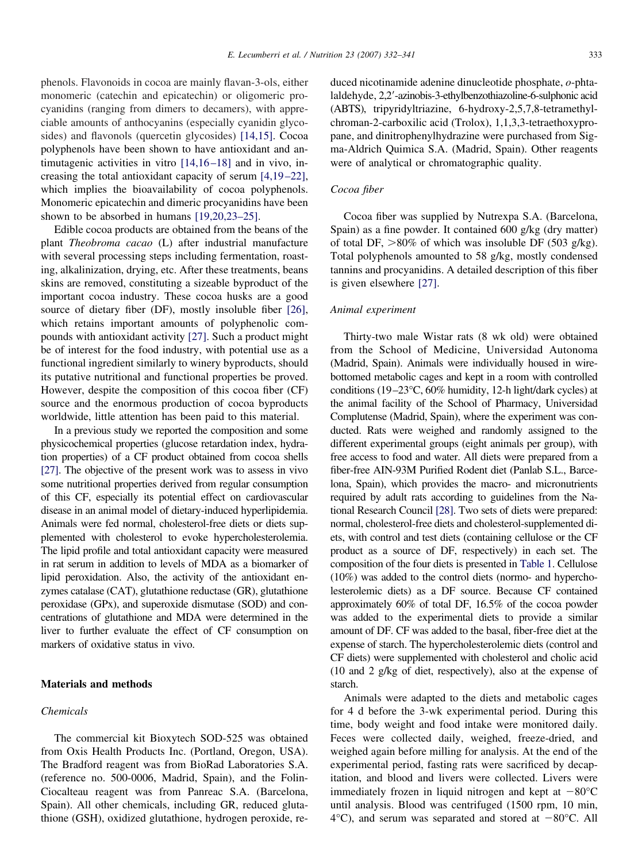phenols. Flavonoids in cocoa are mainly flavan-3-ols, either monomeric (catechin and epicatechin) or oligomeric procyanidins (ranging from dimers to decamers), with appreciable amounts of anthocyanins (especially cyanidin glycosides) and flavonols (quercetin glycosides) [\[14,15\].](#page-7-0) Cocoa polyphenols have been shown to have antioxidant and antimutagenic activities in vitro [\[14,16 –18\]](#page-7-0) and in vivo, increasing the total antioxidant capacity of serum [\[4,19 –22\],](#page-7-0) which implies the bioavailability of cocoa polyphenols. Monomeric epicatechin and dimeric procyanidins have been shown to be absorbed in humans [\[19,20,23–25\].](#page-8-0)

Edible cocoa products are obtained from the beans of the plant *Theobroma cacao* (L) after industrial manufacture with several processing steps including fermentation, roasting, alkalinization, drying, etc. After these treatments, beans skins are removed, constituting a sizeable byproduct of the important cocoa industry. These cocoa husks are a good source of dietary fiber (DF), mostly insoluble fiber [\[26\],](#page-8-0) which retains important amounts of polyphenolic compounds with antioxidant activity [\[27\].](#page-8-0) Such a product might be of interest for the food industry, with potential use as a functional ingredient similarly to winery byproducts, should its putative nutritional and functional properties be proved. However, despite the composition of this cocoa fiber (CF) source and the enormous production of cocoa byproducts worldwide, little attention has been paid to this material.

In a previous study we reported the composition and some physicochemical properties (glucose retardation index, hydration properties) of a CF product obtained from cocoa shells [\[27\].](#page-8-0) The objective of the present work was to assess in vivo some nutritional properties derived from regular consumption of this CF, especially its potential effect on cardiovascular disease in an animal model of dietary-induced hyperlipidemia. Animals were fed normal, cholesterol-free diets or diets supplemented with cholesterol to evoke hypercholesterolemia. The lipid profile and total antioxidant capacity were measured in rat serum in addition to levels of MDA as a biomarker of lipid peroxidation. Also, the activity of the antioxidant enzymes catalase (CAT), glutathione reductase (GR), glutathione peroxidase (GPx), and superoxide dismutase (SOD) and concentrations of glutathione and MDA were determined in the liver to further evaluate the effect of CF consumption on markers of oxidative status in vivo.

# **Materials and methods**

#### *Chemicals*

The commercial kit Bioxytech SOD-525 was obtained from Oxis Health Products Inc. (Portland, Oregon, USA). The Bradford reagent was from BioRad Laboratories S.A. (reference no. 500-0006, Madrid, Spain), and the Folin-Ciocalteau reagent was from Panreac S.A. (Barcelona, Spain). All other chemicals, including GR, reduced glutathione (GSH), oxidized glutathione, hydrogen peroxide, re-

duced nicotinamide adenine dinucleotide phosphate, *o*-phtalaldehyde, 2,2'-azinobis-3-ethylbenzothiazoline-6-sulphonic acid (ABTS), tripyridyltriazine, 6-hydroxy-2,5,7,8-tetramethylchroman-2-carboxilic acid (Trolox), 1,1,3,3-tetraethoxypropane, and dinitrophenylhydrazine were purchased from Sigma-Aldrich Quimica S.A. (Madrid, Spain). Other reagents were of analytical or chromatographic quality.

#### *Cocoa fiber*

Cocoa fiber was supplied by Nutrexpa S.A. (Barcelona, Spain) as a fine powder. It contained 600 g/kg (dry matter) of total DF,  $>80\%$  of which was insoluble DF (503 g/kg). Total polyphenols amounted to 58 g/kg, mostly condensed tannins and procyanidins. A detailed description of this fiber is given elsewhere [\[27\].](#page-8-0)

#### *Animal experiment*

Thirty-two male Wistar rats (8 wk old) were obtained from the School of Medicine, Universidad Autonoma (Madrid, Spain). Animals were individually housed in wirebottomed metabolic cages and kept in a room with controlled conditions (19 –23°C, 60% humidity, 12-h light/dark cycles) at the animal facility of the School of Pharmacy, Universidad Complutense (Madrid, Spain), where the experiment was conducted. Rats were weighed and randomly assigned to the different experimental groups (eight animals per group), with free access to food and water. All diets were prepared from a fiber-free AIN-93M Purified Rodent diet (Panlab S.L., Barcelona, Spain), which provides the macro- and micronutrients required by adult rats according to guidelines from the National Research Council [\[28\].](#page-8-0) Two sets of diets were prepared: normal, cholesterol-free diets and cholesterol-supplemented diets, with control and test diets (containing cellulose or the CF product as a source of DF, respectively) in each set. The composition of the four diets is presented in [Table 1.](#page-2-0) Cellulose (10%) was added to the control diets (normo- and hypercholesterolemic diets) as a DF source. Because CF contained approximately 60% of total DF, 16.5% of the cocoa powder was added to the experimental diets to provide a similar amount of DF. CF was added to the basal, fiber-free diet at the expense of starch. The hypercholesterolemic diets (control and CF diets) were supplemented with cholesterol and cholic acid (10 and 2 g/kg of diet, respectively), also at the expense of starch.

Animals were adapted to the diets and metabolic cages for 4 d before the 3-wk experimental period. During this time, body weight and food intake were monitored daily. Feces were collected daily, weighed, freeze-dried, and weighed again before milling for analysis. At the end of the experimental period, fasting rats were sacrificed by decapitation, and blood and livers were collected. Livers were immediately frozen in liquid nitrogen and kept at  $-80^{\circ}$ C until analysis. Blood was centrifuged (1500 rpm, 10 min,  $4^{\circ}$ C), and serum was separated and stored at  $-80^{\circ}$ C. All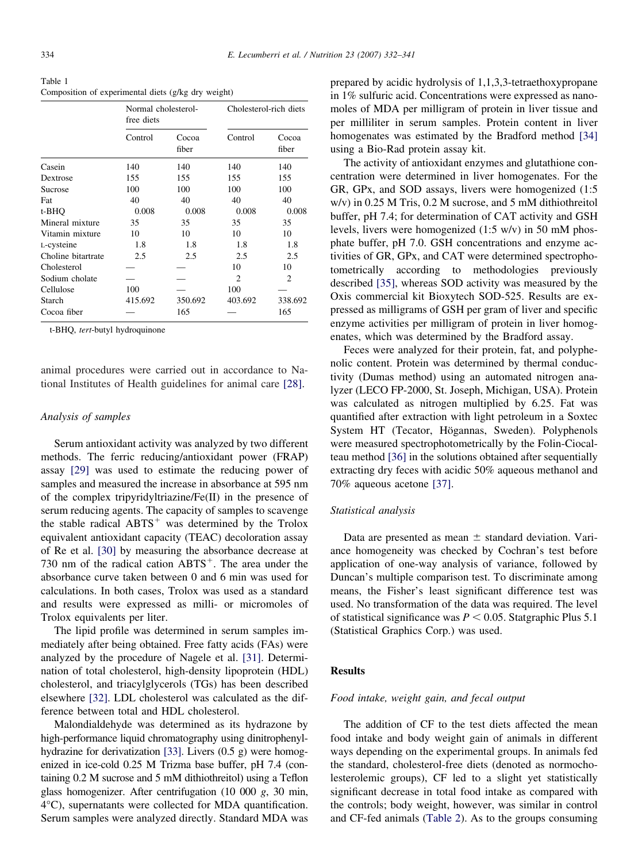<span id="page-2-0"></span>Table 1 Composition of experimental diets (g/kg dry weight)

|                    | Normal cholesterol-<br>free diets |                | Cholesterol-rich diets      |                |
|--------------------|-----------------------------------|----------------|-----------------------------|----------------|
|                    | Control                           | Cocoa<br>fiber | Control                     | Cocoa<br>fiber |
| Casein             | 140                               | 140            | 140                         | 140            |
| Dextrose           | 155                               | 155            | 155                         | 155            |
| Sucrose            | 100                               | 100            | 100                         | 100            |
| Fat                | 40                                | 40             | 40                          | 40             |
| t-BHO              | 0.008                             | 0.008          | 0.008                       | 0.008          |
| Mineral mixture    | 35                                | 35             | 35                          | 35             |
| Vitamin mixture    | 10                                | 10             | 10                          | 10             |
| L-cysteine         | 1.8                               | 1.8            | 1.8                         | 1.8            |
| Choline bitartrate | 2.5                               | 2.5            | 2.5                         | 2.5            |
| Cholesterol        |                                   |                | 10                          | 10             |
| Sodium cholate     |                                   |                | $\mathcal{D}_{\mathcal{L}}$ | $\overline{c}$ |
| Cellulose          | 100                               |                | 100                         |                |
| Starch             | 415.692                           | 350.692        | 403.692                     | 338.692        |
| Cocoa fiber        |                                   | 165            |                             | 165            |

t-BHQ, *tert*-butyl hydroquinone

animal procedures were carried out in accordance to National Institutes of Health guidelines for animal care [\[28\].](#page-8-0)

# *Analysis of samples*

Serum antioxidant activity was analyzed by two different methods. The ferric reducing/antioxidant power (FRAP) assay [\[29\]](#page-8-0) was used to estimate the reducing power of samples and measured the increase in absorbance at 595 nm of the complex tripyridyltriazine/Fe(II) in the presence of serum reducing agents. The capacity of samples to scavenge the stable radical  $ABTS^+$  was determined by the Trolox equivalent antioxidant capacity (TEAC) decoloration assay of Re et al. [\[30\]](#page-8-0) by measuring the absorbance decrease at 730 nm of the radical cation  $ABTS^+$ . The area under the absorbance curve taken between 0 and 6 min was used for calculations. In both cases, Trolox was used as a standard and results were expressed as milli- or micromoles of Trolox equivalents per liter.

The lipid profile was determined in serum samples immediately after being obtained. Free fatty acids (FAs) were analyzed by the procedure of Nagele et al. [\[31\].](#page-8-0) Determination of total cholesterol, high-density lipoprotein (HDL) cholesterol, and triacylglycerols (TGs) has been described elsewhere [\[32\].](#page-8-0) LDL cholesterol was calculated as the difference between total and HDL cholesterol.

Malondialdehyde was determined as its hydrazone by high-performance liquid chromatography using dinitrophenylhydrazine for derivatization [\[33\].](#page-8-0) Livers (0.5 g) were homogenized in ice-cold 0.25 M Trizma base buffer, pH 7.4 (containing 0.2 M sucrose and 5 mM dithiothreitol) using a Teflon glass homogenizer. After centrifugation (10 000 *g*, 30 min, 4°C), supernatants were collected for MDA quantification. Serum samples were analyzed directly. Standard MDA was

prepared by acidic hydrolysis of 1,1,3,3-tetraethoxypropane in 1% sulfuric acid. Concentrations were expressed as nanomoles of MDA per milligram of protein in liver tissue and per milliliter in serum samples. Protein content in liver homogenates was estimated by the Bradford method [\[34\]](#page-8-0) using a Bio-Rad protein assay kit.

The activity of antioxidant enzymes and glutathione concentration were determined in liver homogenates. For the GR, GPx, and SOD assays, livers were homogenized (1:5 w/v) in 0.25 M Tris, 0.2 M sucrose, and 5 mM dithiothreitol buffer, pH 7.4; for determination of CAT activity and GSH levels, livers were homogenized (1:5 w/v) in 50 mM phosphate buffer, pH 7.0. GSH concentrations and enzyme activities of GR, GPx, and CAT were determined spectrophotometrically according to methodologies previously described [\[35\],](#page-8-0) whereas SOD activity was measured by the Oxis commercial kit Bioxytech SOD-525. Results are expressed as milligrams of GSH per gram of liver and specific enzyme activities per milligram of protein in liver homogenates, which was determined by the Bradford assay.

Feces were analyzed for their protein, fat, and polyphenolic content. Protein was determined by thermal conductivity (Dumas method) using an automated nitrogen analyzer (LECO FP-2000, St. Joseph, Michigan, USA). Protein was calculated as nitrogen multiplied by 6.25. Fat was quantified after extraction with light petroleum in a Soxtec System HT (Tecator, Högannas, Sweden). Polyphenols were measured spectrophotometrically by the Folin-Ciocalteau method [\[36\]](#page-8-0) in the solutions obtained after sequentially extracting dry feces with acidic 50% aqueous methanol and 70% aqueous acetone [\[37\].](#page-8-0)

#### *Statistical analysis*

Data are presented as mean  $\pm$  standard deviation. Variance homogeneity was checked by Cochran's test before application of one-way analysis of variance, followed by Duncan's multiple comparison test. To discriminate among means, the Fisher's least significant difference test was used. No transformation of the data was required. The level of statistical significance was  $P \leq 0.05$ . Statgraphic Plus 5.1 (Statistical Graphics Corp.) was used.

# **Results**

# *Food intake, weight gain, and fecal output*

The addition of CF to the test diets affected the mean food intake and body weight gain of animals in different ways depending on the experimental groups. In animals fed the standard, cholesterol-free diets (denoted as normocholesterolemic groups), CF led to a slight yet statistically significant decrease in total food intake as compared with the controls; body weight, however, was similar in control and CF-fed animals [\(Table 2\)](#page-3-0). As to the groups consuming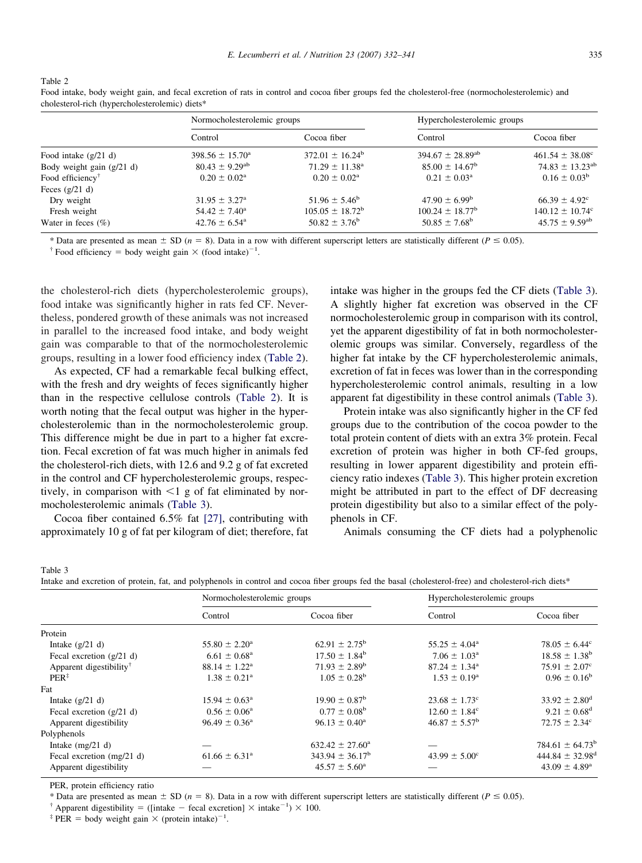<span id="page-3-0"></span>Table 2

Food intake, body weight gain, and fecal excretion of rats in control and cocoa fiber groups fed the cholesterol-free (normocholesterolemic) and cholesterol-rich (hypercholesterolemic) diets\*

|                              | Normocholesterolemic groups    |                              | Hypercholesterolemic groups |                                 |
|------------------------------|--------------------------------|------------------------------|-----------------------------|---------------------------------|
|                              | Control                        | Cocoa fiber                  | Control                     | Cocoa fiber                     |
| Food intake $(g/21 d)$       | $398.56 \pm 15.70^{\circ}$     | $372.01 \pm 16.24^b$         | $394.67 \pm 28.89^{ab}$     | $461.54 \pm 38.08$ <sup>c</sup> |
| Body weight gain $(g/21 d)$  | $80.43 \pm 9.29$ <sup>ab</sup> | $71.29 \pm 11.38^{\text{a}}$ | $85.00 \pm 14.67^{\rm b}$   | $74.83 \pm 13.23$ <sup>ab</sup> |
| Food efficiency <sup>†</sup> | $0.20 \pm 0.02^{\text{a}}$     | $0.20 \pm 0.02^{\rm a}$      | $0.21 \pm 0.03^{\rm a}$     | $0.16 \pm 0.03^{\rm b}$         |
| Feces $(g/21 d)$             |                                |                              |                             |                                 |
| Dry weight                   | $31.95 \pm 3.27^{\circ}$       | $51.96 \pm 5.46^{\circ}$     | $47.90 \pm 6.99^{\rm b}$    | $66.39 \pm 4.92$ <sup>c</sup>   |
| Fresh weight                 | $54.42 \pm 7.40^{\circ}$       | $105.05 \pm 18.72^{\rm b}$   | $100.24 \pm 18.77^{\rm b}$  | $140.12 \pm 10.74$ <sup>c</sup> |
| Water in feces $(\% )$       | $42.76 \pm 6.54$ <sup>a</sup>  | $50.82 \pm 3.76^{\rm b}$     | $50.85 \pm 7.68^{\rm b}$    | $45.75 \pm 9.59$ <sup>ab</sup>  |

\* Data are presented as mean  $\pm$  SD ( $n = 8$ ). Data in a row with different superscript letters are statistically different ( $P \le 0.05$ ).

<sup>†</sup> Food efficiency = body weight gain  $\times$  (food intake)<sup>-1</sup>.

the cholesterol-rich diets (hypercholesterolemic groups), food intake was significantly higher in rats fed CF. Nevertheless, pondered growth of these animals was not increased in parallel to the increased food intake, and body weight gain was comparable to that of the normocholesterolemic groups, resulting in a lower food efficiency index (Table 2).

As expected, CF had a remarkable fecal bulking effect, with the fresh and dry weights of feces significantly higher than in the respective cellulose controls (Table 2). It is worth noting that the fecal output was higher in the hypercholesterolemic than in the normocholesterolemic group. This difference might be due in part to a higher fat excretion. Fecal excretion of fat was much higher in animals fed the cholesterol-rich diets, with 12.6 and 9.2 g of fat excreted in the control and CF hypercholesterolemic groups, respectively, in comparison with  $\leq 1$  g of fat eliminated by normocholesterolemic animals (Table 3).

Cocoa fiber contained 6.5% fat [\[27\],](#page-8-0) contributing with approximately 10 g of fat per kilogram of diet; therefore, fat intake was higher in the groups fed the CF diets (Table 3). A slightly higher fat excretion was observed in the CF normocholesterolemic group in comparison with its control, yet the apparent digestibility of fat in both normocholesterolemic groups was similar. Conversely, regardless of the higher fat intake by the CF hypercholesterolemic animals, excretion of fat in feces was lower than in the corresponding hypercholesterolemic control animals, resulting in a low apparent fat digestibility in these control animals (Table 3).

Protein intake was also significantly higher in the CF fed groups due to the contribution of the cocoa powder to the total protein content of diets with an extra 3% protein. Fecal excretion of protein was higher in both CF-fed groups, resulting in lower apparent digestibility and protein efficiency ratio indexes (Table 3). This higher protein excretion might be attributed in part to the effect of DF decreasing protein digestibility but also to a similar effect of the polyphenols in CF.

Animals consuming the CF diets had a polyphenolic

Table 3

Intake and excretion of protein, fat, and polyphenols in control and cocoa fiber groups fed the basal (cholesterol-free) and cholesterol-rich diets\*

|                                     | Normocholesterolemic groups |                            | Hypercholesterolemic groups   |                                 |
|-------------------------------------|-----------------------------|----------------------------|-------------------------------|---------------------------------|
|                                     | Control                     | Cocoa fiber                | Control                       | Cocoa fiber                     |
| Protein                             |                             |                            |                               |                                 |
| Intake $(g/21 d)$                   | $55.80 \pm 2.20^{\rm a}$    | $62.91 \pm 2.75^{\rm b}$   | $55.25 \pm 4.04^{\circ}$      | $78.05 \pm 6.44^{\circ}$        |
| Fecal excretion $(g/21 d)$          | $6.61 \pm 0.68^{\rm a}$     | $17.50 \pm 1.84^b$         | $7.06 \pm 1.03^{\circ}$       | $18.58 \pm 1.38^{\rm b}$        |
| Apparent digestibility <sup>†</sup> | $88.14 \pm 1.22^{\rm a}$    | $71.93 \pm 2.89^{\rm b}$   | $87.24 \pm 1.34^{\circ}$      | $75.91 \pm 2.07^c$              |
| $PER^{\ddagger}$                    | $1.38 \pm 0.21^{\rm a}$     | $1.05 \pm 0.28^{\rm b}$    | $1.53 \pm 0.19^{\rm a}$       | $0.96 \pm 0.16^b$               |
| Fat                                 |                             |                            |                               |                                 |
| Intake $(g/21 d)$                   | $15.94 \pm 0.63^{\circ}$    | $19.90 \pm 0.87^{\rm b}$   | $23.68 \pm 1.73$ <sup>c</sup> | $33.92 \pm 2.80^{\mathrm{d}}$   |
| Fecal excretion $(g/21 d)$          | $0.56 \pm 0.06^{\circ}$     | $0.77 \pm 0.08^{\rm b}$    | $12.60 \pm 1.84^{\circ}$      | $9.21 \pm 0.68^{\rm d}$         |
| Apparent digestibility              | $96.49 \pm 0.36^{\circ}$    | $96.13 \pm 0.40^a$         | $46.87 \pm 5.57^{\rm b}$      | $72.75 \pm 2.34^{\circ}$        |
| Polyphenols                         |                             |                            |                               |                                 |
| Intake $(mg/21 d)$                  |                             | $632.42 \pm 27.60^{\circ}$ |                               | $784.61 \pm 64.73^b$            |
| Fecal excretion $(mg/21 d)$         | $61.66 \pm 6.31^{\circ}$    | $343.94 \pm 36.17^b$       | $43.99 \pm 5.00^{\circ}$      | $444.84 \pm 32.98$ <sup>d</sup> |
| Apparent digestibility              |                             | $45.57 \pm 5.60^{\circ}$   |                               | $43.09 \pm 4.89^{\circ}$        |

PER, protein efficiency ratio

\* Data are presented as mean  $\pm$  SD ( $n = 8$ ). Data in a row with different superscript letters are statistically different ( $P \le 0.05$ ).

<sup>†</sup> Apparent digestibility = ([intake - fecal excretion]  $\times$  intake<sup>-1</sup>)  $\times$  100.

<sup>‡</sup> PER = body weight gain  $\times$  (protein intake)<sup>-1</sup>.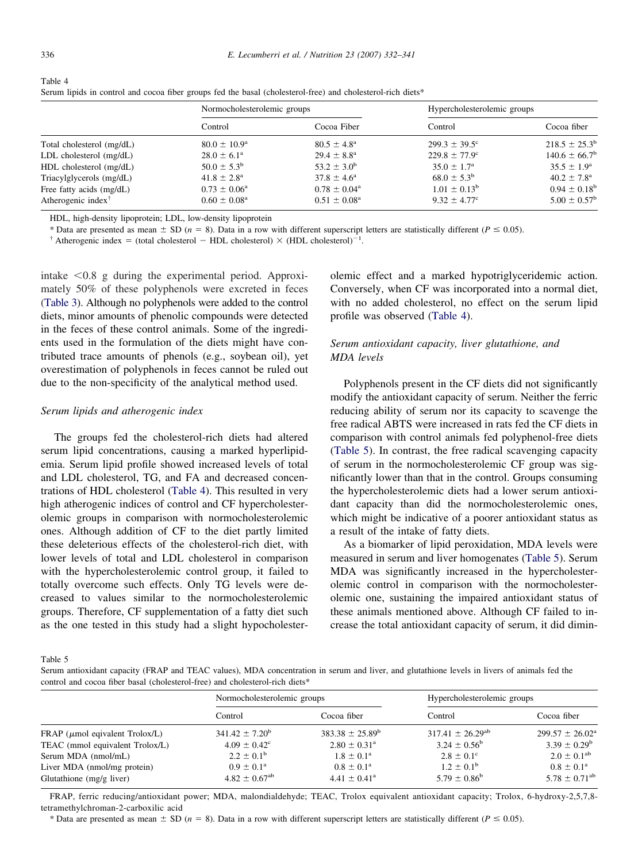|                                | Normocholesterolemic groups |                            | Hypercholesterolemic groups |                              |  |  |
|--------------------------------|-----------------------------|----------------------------|-----------------------------|------------------------------|--|--|
|                                | Control                     | Cocoa Fiber                | Control                     | Cocoa fiber                  |  |  |
| Total cholesterol (mg/dL)      | $80.0 \pm 10.9^{\circ}$     | $80.5 \pm 4.8^{\circ}$     | $299.3 \pm 39.5$ °          | $218.5 \pm 25.3^{\circ}$     |  |  |
| LDL cholesterol (mg/dL)        | $28.0 \pm 6.1^{\circ}$      | $29.4 \pm 8.8^{\rm a}$     | $229.8 \pm 77.9^{\circ}$    | $140.6 \pm 66.7^{\text{t}}$  |  |  |
| HDL cholesterol (mg/dL)        | $50.0 \pm 5.3^{\rm b}$      | $53.2 \pm 3.0^{\rm b}$     | $35.0 \pm 1.7^{\circ}$      | $35.5 \pm 1.9^{\rm a}$       |  |  |
| Triacylglycerols (mg/dL)       | $41.8 \pm 2.8^{\rm a}$      | $37.8 \pm 4.6^{\circ}$     | $68.0 \pm 5.3^{\rm b}$      | $40.2 \pm 7.8^{\rm a}$       |  |  |
| Free fatty acids (mg/dL)       | $0.73 \pm 0.06^{\circ}$     | $0.78 \pm 0.04^{\text{a}}$ | $1.01 \pm 0.13^b$           | $0.94 \pm 0.18^{\rm b}$      |  |  |
| Atherogenic index <sup>†</sup> | $0.60 \pm 0.08^{\rm a}$     | $0.51 \pm 0.08^{\rm a}$    | $9.32 \pm 4.77$ °           | $5.00 \pm 0.57$ <sup>t</sup> |  |  |
|                                |                             |                            |                             |                              |  |  |

<span id="page-4-0"></span>Table 4 Serum lipids in control and cocoa fiber groups fed the basal (cholesterol-free) and cholesterol-rich diets\*

HDL, high-density lipoprotein; LDL, low-density lipoprotein

\* Data are presented as mean  $\pm$  SD ( $n = 8$ ). Data in a row with different superscript letters are statistically different ( $P \le 0.05$ ).

<sup>†</sup> Atherogenic index = (total cholesterol - HDL cholesterol)  $\times$  (HDL cholesterol)<sup>-1</sup>.

intake  $\leq 0.8$  g during the experimental period. Approximately 50% of these polyphenols were excreted in feces [\(Table 3\)](#page-3-0). Although no polyphenols were added to the control diets, minor amounts of phenolic compounds were detected in the feces of these control animals. Some of the ingredients used in the formulation of the diets might have contributed trace amounts of phenols (e.g., soybean oil), yet overestimation of polyphenols in feces cannot be ruled out due to the non-specificity of the analytical method used.

#### *Serum lipids and atherogenic index*

The groups fed the cholesterol-rich diets had altered serum lipid concentrations, causing a marked hyperlipidemia. Serum lipid profile showed increased levels of total and LDL cholesterol, TG, and FA and decreased concentrations of HDL cholesterol (Table 4). This resulted in very high atherogenic indices of control and CF hypercholesterolemic groups in comparison with normocholesterolemic ones. Although addition of CF to the diet partly limited these deleterious effects of the cholesterol-rich diet, with lower levels of total and LDL cholesterol in comparison with the hypercholesterolemic control group, it failed to totally overcome such effects. Only TG levels were decreased to values similar to the normocholesterolemic groups. Therefore, CF supplementation of a fatty diet such as the one tested in this study had a slight hypocholesterolemic effect and a marked hypotriglyceridemic action. Conversely, when CF was incorporated into a normal diet, with no added cholesterol, no effect on the serum lipid profile was observed (Table 4).

# *Serum antioxidant capacity, liver glutathione, and MDA levels*

Polyphenols present in the CF diets did not significantly modify the antioxidant capacity of serum. Neither the ferric reducing ability of serum nor its capacity to scavenge the free radical ABTS were increased in rats fed the CF diets in comparison with control animals fed polyphenol-free diets (Table 5). In contrast, the free radical scavenging capacity of serum in the normocholesterolemic CF group was significantly lower than that in the control. Groups consuming the hypercholesterolemic diets had a lower serum antioxidant capacity than did the normocholesterolemic ones, which might be indicative of a poorer antioxidant status as a result of the intake of fatty diets.

As a biomarker of lipid peroxidation, MDA levels were measured in serum and liver homogenates (Table 5). Serum MDA was significantly increased in the hypercholesterolemic control in comparison with the normocholesterolemic one, sustaining the impaired antioxidant status of these animals mentioned above. Although CF failed to increase the total antioxidant capacity of serum, it did dimin-

Table 5

Serum antioxidant capacity (FRAP and TEAC values), MDA concentration in serum and liver, and glutathione levels in livers of animals fed the control and cocoa fiber basal (cholesterol-free) and cholesterol-rich diets\*

|                                        | Normocholesterolemic groups   |                            | Hypercholesterolemic groups      |                               |
|----------------------------------------|-------------------------------|----------------------------|----------------------------------|-------------------------------|
|                                        | Control                       | Cocoa fiber                | Control                          | Cocoa fiber                   |
| $FRAP$ ( $\mu$ mol eqivalent Trolox/L) | $341.42 \pm 7.20^b$           | $383.38 \pm 25.89^{\rm b}$ | $317.41 \pm 26.29$ <sup>ab</sup> | $299.57 \pm 26.02^{\circ}$    |
| TEAC (mmol equivalent Trolox/L)        | $4.09 \pm 0.42$ <sup>c</sup>  | $2.80 \pm 0.31^{\circ}$    | $3.24 \pm 0.56^{\circ}$          | $3.39 \pm 0.29^{\rm b}$       |
| Serum MDA (nmol/mL)                    | $2.2 \pm 0.1^{\rm b}$         | $1.8 \pm 0.1^{\rm a}$      | $2.8 \pm 0.1^{\circ}$            | $2.0 \pm 0.1^{ab}$            |
| Liver MDA (nmol/mg protein)            | $0.9 \pm 0.1^{\rm a}$         | $0.8 \pm 0.1^{\rm a}$      | $1.2 \pm 0.1^{\rm b}$            | $0.8 \pm 0.1^{\rm a}$         |
| Glutathione $(mg/g$ liver)             | $4.82 \pm 0.67$ <sup>ab</sup> | $4.41 \pm 0.41^{\circ}$    | $5.79 \pm 0.86^b$                | $5.78 \pm 0.71$ <sup>ab</sup> |

FRAP, ferric reducing/antioxidant power; MDA, malondialdehyde; TEAC, Trolox equivalent antioxidant capacity; Trolox, 6-hydroxy-2,5,7,8 tetramethylchroman-2-carboxilic acid

\* Data are presented as mean  $\pm$  SD ( $n = 8$ ). Data in a row with different superscript letters are statistically different ( $P \le 0.05$ ).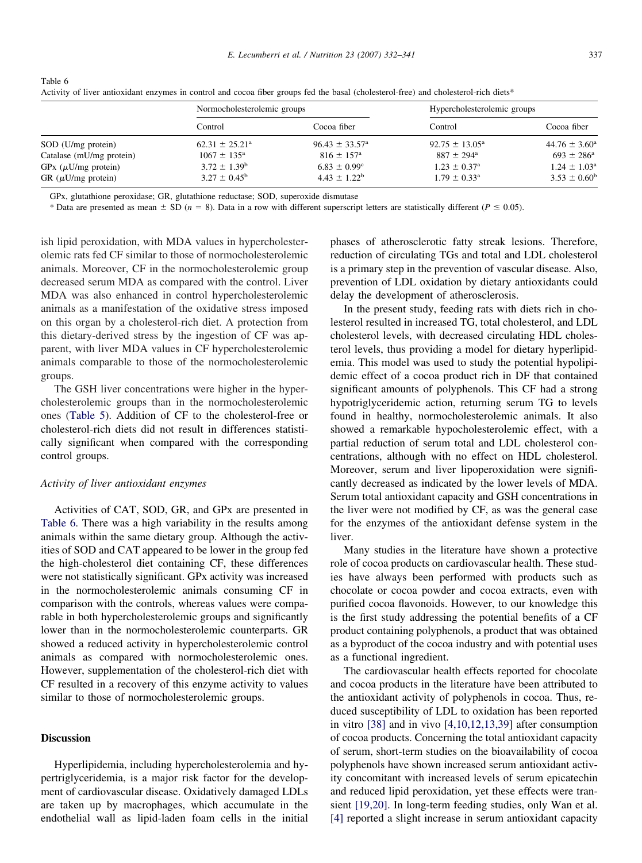|                             | Normocholesterolemic groups |                           | Hypercholesterolemic groups |                            |
|-----------------------------|-----------------------------|---------------------------|-----------------------------|----------------------------|
|                             | Control                     | Cocoa fiber               | Control                     | Cocoa fiber                |
| SOD (U/mg protein)          | $62.31 \pm 25.21^{\circ}$   | $96.43 \pm 33.57^{\circ}$ | $92.75 \pm 13.05^{\circ}$   | $44.76 \pm 3.60^{\circ}$   |
| Catalase (mU/mg protein)    | $1067 \pm 135^{\circ}$      | $816 \pm 157^{\circ}$     | $887 \pm 294^{\rm a}$       | $693 \pm 286^{\circ}$      |
| $GPx$ ( $\mu$ U/mg protein) | $3.72 \pm 1.39^{\rm b}$     | $6.83 \pm 0.99^{\circ}$   | $1.23 \pm 0.37^{\rm a}$     | $1.24 \pm 1.03^{\text{a}}$ |
| GR $(\mu U/mg$ protein)     | $3.27 \pm 0.45^{\rm b}$     | $4.43 \pm 1.22^b$         | $1.79 \pm 0.33^{\rm a}$     | $3.53 \pm 0.60^{\rm b}$    |

Table 6 Activity of liver antioxidant enzymes in control and cocoa fiber groups fed the basal (cholesterol-free) and cholesterol-rich diets\*

GPx, glutathione peroxidase; GR, glutathione reductase; SOD, superoxide dismutase

\* Data are presented as mean  $\pm$  SD ( $n = 8$ ). Data in a row with different superscript letters are statistically different ( $P \le 0.05$ ).

ish lipid peroxidation, with MDA values in hypercholesterolemic rats fed CF similar to those of normocholesterolemic animals. Moreover, CF in the normocholesterolemic group decreased serum MDA as compared with the control. Liver MDA was also enhanced in control hypercholesterolemic animals as a manifestation of the oxidative stress imposed on this organ by a cholesterol-rich diet. A protection from this dietary-derived stress by the ingestion of CF was apparent, with liver MDA values in CF hypercholesterolemic animals comparable to those of the normocholesterolemic groups.

The GSH liver concentrations were higher in the hypercholesterolemic groups than in the normocholesterolemic ones [\(Table 5\)](#page-4-0). Addition of CF to the cholesterol-free or cholesterol-rich diets did not result in differences statistically significant when compared with the corresponding control groups.

# *Activity of liver antioxidant enzymes*

Activities of CAT, SOD, GR, and GPx are presented in Table 6. There was a high variability in the results among animals within the same dietary group. Although the activities of SOD and CAT appeared to be lower in the group fed the high-cholesterol diet containing CF, these differences were not statistically significant. GPx activity was increased in the normocholesterolemic animals consuming CF in comparison with the controls, whereas values were comparable in both hypercholesterolemic groups and significantly lower than in the normocholesterolemic counterparts. GR showed a reduced activity in hypercholesterolemic control animals as compared with normocholesterolemic ones. However, supplementation of the cholesterol-rich diet with CF resulted in a recovery of this enzyme activity to values similar to those of normocholesterolemic groups.

#### **Discussion**

Hyperlipidemia, including hypercholesterolemia and hypertriglyceridemia, is a major risk factor for the development of cardiovascular disease. Oxidatively damaged LDLs are taken up by macrophages, which accumulate in the endothelial wall as lipid-laden foam cells in the initial

phases of atherosclerotic fatty streak lesions. Therefore, reduction of circulating TGs and total and LDL cholesterol is a primary step in the prevention of vascular disease. Also, prevention of LDL oxidation by dietary antioxidants could delay the development of atherosclerosis.

In the present study, feeding rats with diets rich in cholesterol resulted in increased TG, total cholesterol, and LDL cholesterol levels, with decreased circulating HDL cholesterol levels, thus providing a model for dietary hyperlipidemia. This model was used to study the potential hypolipidemic effect of a cocoa product rich in DF that contained significant amounts of polyphenols. This CF had a strong hypotriglyceridemic action, returning serum TG to levels found in healthy, normocholesterolemic animals. It also showed a remarkable hypocholesterolemic effect, with a partial reduction of serum total and LDL cholesterol concentrations, although with no effect on HDL cholesterol. Moreover, serum and liver lipoperoxidation were significantly decreased as indicated by the lower levels of MDA. Serum total antioxidant capacity and GSH concentrations in the liver were not modified by CF, as was the general case for the enzymes of the antioxidant defense system in the liver.

Many studies in the literature have shown a protective role of cocoa products on cardiovascular health. These studies have always been performed with products such as chocolate or cocoa powder and cocoa extracts, even with purified cocoa flavonoids. However, to our knowledge this is the first study addressing the potential benefits of a CF product containing polyphenols, a product that was obtained as a byproduct of the cocoa industry and with potential uses as a functional ingredient.

The cardiovascular health effects reported for chocolate and cocoa products in the literature have been attributed to the antioxidant activity of polyphenols in cocoa. Thus, reduced susceptibility of LDL to oxidation has been reported in vitro [\[38\]](#page-8-0) and in vivo [\[4,10,12,13,39\]](#page-7-0) after consumption of cocoa products. Concerning the total antioxidant capacity of serum, short-term studies on the bioavailability of cocoa polyphenols have shown increased serum antioxidant activity concomitant with increased levels of serum epicatechin and reduced lipid peroxidation, yet these effects were transient [\[19,20\].](#page-8-0) In long-term feeding studies, only Wan et al. [\[4\]](#page-7-0) reported a slight increase in serum antioxidant capacity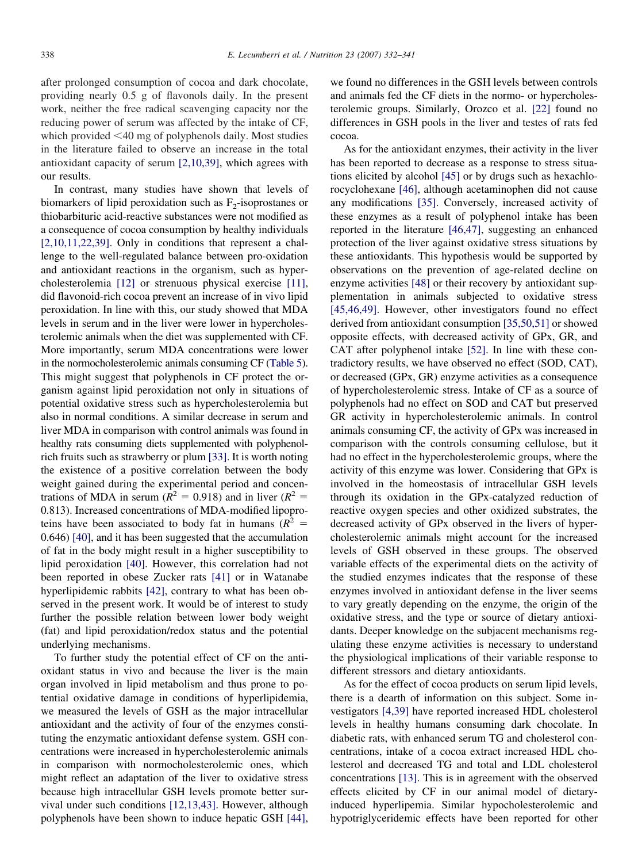after prolonged consumption of cocoa and dark chocolate, providing nearly 0.5 g of flavonols daily. In the present work, neither the free radical scavenging capacity nor the reducing power of serum was affected by the intake of CF, which provided <40 mg of polyphenols daily. Most studies in the literature failed to observe an increase in the total antioxidant capacity of serum [\[2,10,39\],](#page-7-0) which agrees with our results.

In contrast, many studies have shown that levels of biomarkers of lipid peroxidation such as  $F_2$ -isoprostanes or thiobarbituric acid-reactive substances were not modified as a consequence of cocoa consumption by healthy individuals [\[2,10,11,22,39\].](#page-7-0) Only in conditions that represent a challenge to the well-regulated balance between pro-oxidation and antioxidant reactions in the organism, such as hypercholesterolemia [\[12\]](#page-7-0) or strenuous physical exercise [\[11\],](#page-7-0) did flavonoid-rich cocoa prevent an increase of in vivo lipid peroxidation. In line with this, our study showed that MDA levels in serum and in the liver were lower in hypercholesterolemic animals when the diet was supplemented with CF. More importantly, serum MDA concentrations were lower in the normocholesterolemic animals consuming CF [\(Table 5\)](#page-4-0). This might suggest that polyphenols in CF protect the organism against lipid peroxidation not only in situations of potential oxidative stress such as hypercholesterolemia but also in normal conditions. A similar decrease in serum and liver MDA in comparison with control animals was found in healthy rats consuming diets supplemented with polyphenolrich fruits such as strawberry or plum [\[33\].](#page-8-0) It is worth noting the existence of a positive correlation between the body weight gained during the experimental period and concentrations of MDA in serum ( $\mathbf{R}^2 = 0.918$ ) and in liver ( $\mathbf{R}^2 =$ 0.813). Increased concentrations of MDA-modified lipoproteins have been associated to body fat in humans ( $R^2$  = 0.646) [\[40\],](#page-8-0) and it has been suggested that the accumulation of fat in the body might result in a higher susceptibility to lipid peroxidation [\[40\].](#page-8-0) However, this correlation had not been reported in obese Zucker rats [\[41\]](#page-8-0) or in Watanabe hyperlipidemic rabbits [\[42\],](#page-8-0) contrary to what has been observed in the present work. It would be of interest to study further the possible relation between lower body weight (fat) and lipid peroxidation/redox status and the potential underlying mechanisms.

To further study the potential effect of CF on the antioxidant status in vivo and because the liver is the main organ involved in lipid metabolism and thus prone to potential oxidative damage in conditions of hyperlipidemia, we measured the levels of GSH as the major intracellular antioxidant and the activity of four of the enzymes constituting the enzymatic antioxidant defense system. GSH concentrations were increased in hypercholesterolemic animals in comparison with normocholesterolemic ones, which might reflect an adaptation of the liver to oxidative stress because high intracellular GSH levels promote better survival under such conditions [\[12,13,43\].](#page-7-0) However, although polyphenols have been shown to induce hepatic GSH [\[44\],](#page-8-0)

we found no differences in the GSH levels between controls and animals fed the CF diets in the normo- or hypercholesterolemic groups. Similarly, Orozco et al. [\[22\]](#page-8-0) found no differences in GSH pools in the liver and testes of rats fed cocoa.

As for the antioxidant enzymes, their activity in the liver has been reported to decrease as a response to stress situations elicited by alcohol [\[45\]](#page-8-0) or by drugs such as hexachlorocyclohexane [\[46\],](#page-8-0) although acetaminophen did not cause any modifications [\[35\].](#page-8-0) Conversely, increased activity of these enzymes as a result of polyphenol intake has been reported in the literature [\[46,47\],](#page-8-0) suggesting an enhanced protection of the liver against oxidative stress situations by these antioxidants. This hypothesis would be supported by observations on the prevention of age-related decline on enzyme activities [\[48\]](#page-8-0) or their recovery by antioxidant supplementation in animals subjected to oxidative stress [\[45,46,49\].](#page-8-0) However, other investigators found no effect derived from antioxidant consumption [\[35,50,51\]](#page-8-0) or showed opposite effects, with decreased activity of GPx, GR, and CAT after polyphenol intake [\[52\].](#page-8-0) In line with these contradictory results, we have observed no effect (SOD, CAT), or decreased (GPx, GR) enzyme activities as a consequence of hypercholesterolemic stress. Intake of CF as a source of polyphenols had no effect on SOD and CAT but preserved GR activity in hypercholesterolemic animals. In control animals consuming CF, the activity of GPx was increased in comparison with the controls consuming cellulose, but it had no effect in the hypercholesterolemic groups, where the activity of this enzyme was lower. Considering that GPx is involved in the homeostasis of intracellular GSH levels through its oxidation in the GPx-catalyzed reduction of reactive oxygen species and other oxidized substrates, the decreased activity of GPx observed in the livers of hypercholesterolemic animals might account for the increased levels of GSH observed in these groups. The observed variable effects of the experimental diets on the activity of the studied enzymes indicates that the response of these enzymes involved in antioxidant defense in the liver seems to vary greatly depending on the enzyme, the origin of the oxidative stress, and the type or source of dietary antioxidants. Deeper knowledge on the subjacent mechanisms regulating these enzyme activities is necessary to understand the physiological implications of their variable response to different stressors and dietary antioxidants.

As for the effect of cocoa products on serum lipid levels, there is a dearth of information on this subject. Some investigators [\[4,39\]](#page-7-0) have reported increased HDL cholesterol levels in healthy humans consuming dark chocolate. In diabetic rats, with enhanced serum TG and cholesterol concentrations, intake of a cocoa extract increased HDL cholesterol and decreased TG and total and LDL cholesterol concentrations [\[13\].](#page-7-0) This is in agreement with the observed effects elicited by CF in our animal model of dietaryinduced hyperlipemia. Similar hypocholesterolemic and hypotriglyceridemic effects have been reported for other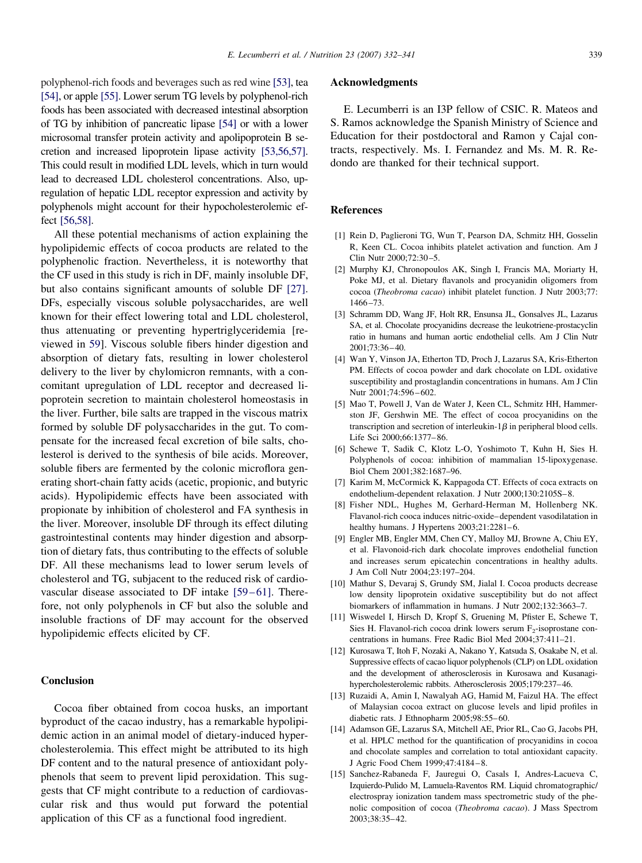<span id="page-7-0"></span>polyphenol-rich foods and beverages such as red wine [\[53\],](#page-8-0) tea [\[54\],](#page-8-0) or apple [\[55\].](#page-9-0) Lower serum TG levels by polyphenol-rich foods has been associated with decreased intestinal absorption of TG by inhibition of pancreatic lipase [\[54\]](#page-8-0) or with a lower microsomal transfer protein activity and apolipoprotein B secretion and increased lipoprotein lipase activity [\[53,56,57\].](#page-8-0) This could result in modified LDL levels, which in turn would lead to decreased LDL cholesterol concentrations. Also, upregulation of hepatic LDL receptor expression and activity by polyphenols might account for their hypocholesterolemic effect [\[56,58\].](#page-9-0)

All these potential mechanisms of action explaining the hypolipidemic effects of cocoa products are related to the polyphenolic fraction. Nevertheless, it is noteworthy that the CF used in this study is rich in DF, mainly insoluble DF, but also contains significant amounts of soluble DF [\[27\].](#page-8-0) DFs, especially viscous soluble polysaccharides, are well known for their effect lowering total and LDL cholesterol, thus attenuating or preventing hypertriglyceridemia [reviewed in [59\]](#page-9-0). Viscous soluble fibers hinder digestion and absorption of dietary fats, resulting in lower cholesterol delivery to the liver by chylomicron remnants, with a concomitant upregulation of LDL receptor and decreased lipoprotein secretion to maintain cholesterol homeostasis in the liver. Further, bile salts are trapped in the viscous matrix formed by soluble DF polysaccharides in the gut. To compensate for the increased fecal excretion of bile salts, cholesterol is derived to the synthesis of bile acids. Moreover, soluble fibers are fermented by the colonic microflora generating short-chain fatty acids (acetic, propionic, and butyric acids). Hypolipidemic effects have been associated with propionate by inhibition of cholesterol and FA synthesis in the liver. Moreover, insoluble DF through its effect diluting gastrointestinal contents may hinder digestion and absorption of dietary fats, thus contributing to the effects of soluble DF. All these mechanisms lead to lower serum levels of cholesterol and TG, subjacent to the reduced risk of cardiovascular disease associated to DF intake  $[59-61]$ . Therefore, not only polyphenols in CF but also the soluble and insoluble fractions of DF may account for the observed hypolipidemic effects elicited by CF.

#### **Conclusion**

Cocoa fiber obtained from cocoa husks, an important byproduct of the cacao industry, has a remarkable hypolipidemic action in an animal model of dietary-induced hypercholesterolemia. This effect might be attributed to its high DF content and to the natural presence of antioxidant polyphenols that seem to prevent lipid peroxidation. This suggests that CF might contribute to a reduction of cardiovascular risk and thus would put forward the potential application of this CF as a functional food ingredient.

#### **Acknowledgments**

E. Lecumberri is an I3P fellow of CSIC. R. Mateos and S. Ramos acknowledge the Spanish Ministry of Science and Education for their postdoctoral and Ramon y Cajal contracts, respectively. Ms. I. Fernandez and Ms. M. R. Redondo are thanked for their technical support.

# **References**

- [1] Rein D, Paglieroni TG, Wun T, Pearson DA, Schmitz HH, Gosselin R, Keen CL. Cocoa inhibits platelet activation and function. Am J Clin Nutr 2000;72:30 –5.
- [2] Murphy KJ, Chronopoulos AK, Singh I, Francis MA, Moriarty H, Poke MJ, et al. Dietary flavanols and procyanidin oligomers from cocoa (*Theobroma cacao*) inhibit platelet function. J Nutr 2003;77: 1466 –73.
- [3] Schramm DD, Wang JF, Holt RR, Ensunsa JL, Gonsalves JL, Lazarus SA, et al. Chocolate procyanidins decrease the leukotriene-prostacyclin ratio in humans and human aortic endothelial cells. Am J Clin Nutr 2001;73:36 – 40.
- [4] Wan Y, Vinson JA, Etherton TD, Proch J, Lazarus SA, Kris-Etherton PM. Effects of cocoa powder and dark chocolate on LDL oxidative susceptibility and prostaglandin concentrations in humans. Am J Clin Nutr 2001;74:596-602.
- [5] Mao T, Powell J, Van de Water J, Keen CL, Schmitz HH, Hammerston JF, Gershwin ME. The effect of cocoa procyanidins on the transcription and secretion of interleukin-1 $\beta$  in peripheral blood cells. Life Sci 2000;66:1377– 86.
- [6] Schewe T, Sadik C, Klotz L-O, Yoshimoto T, Kuhn H, Sies H. Polyphenols of cocoa: inhibition of mammalian 15-lipoxygenase. Biol Chem 2001;382:1687–96.
- [7] Karim M, McCormick K, Kappagoda CT. Effects of coca extracts on endothelium-dependent relaxation. J Nutr 2000;130:2105S– 8.
- [8] Fisher NDL, Hughes M, Gerhard-Herman M, Hollenberg NK. Flavanol-rich cooca induces nitric-oxide– dependent vasodilatation in healthy humans. J Hypertens 2003;21:2281-6.
- [9] Engler MB, Engler MM, Chen CY, Malloy MJ, Browne A, Chiu EY, et al. Flavonoid-rich dark chocolate improves endothelial function and increases serum epicatechin concentrations in healthy adults. J Am Coll Nutr 2004;23:197–204.
- [10] Mathur S, Devaraj S, Grundy SM, Jialal I. Cocoa products decrease low density lipoprotein oxidative susceptibility but do not affect biomarkers of inflammation in humans. J Nutr 2002;132:3663–7.
- [11] Wiswedel I, Hirsch D, Kropf S, Gruening M, Pfister E, Schewe T, Sies H. Flavanol-rich cocoa drink lowers serum  $F_2$ -isoprostane concentrations in humans. Free Radic Biol Med 2004;37:411–21.
- [12] Kurosawa T, Itoh F, Nozaki A, Nakano Y, Katsuda S, Osakabe N, et al. Suppressive effects of cacao liquor polyphenols (CLP) on LDL oxidation and the development of atherosclerosis in Kurosawa and Kusanagihypercholesterolemic rabbits. Atherosclerosis 2005;179:237– 46.
- [13] Ruzaidi A, Amin I, Nawalyah AG, Hamid M, Faizul HA. The effect of Malaysian cocoa extract on glucose levels and lipid profiles in diabetic rats. J Ethnopharm 2005;98:55-60.
- [14] Adamson GE, Lazarus SA, Mitchell AE, Prior RL, Cao G, Jacobs PH, et al. HPLC method for the quantification of procyanidins in cocoa and chocolate samples and correlation to total antioxidant capacity. J Agric Food Chem 1999;47:4184 – 8.
- [15] Sanchez-Rabaneda F, Jauregui O, Casals I, Andres-Lacueva C, Izquierdo-Pulido M, Lamuela-Raventos RM. Liquid chromatographic/ electrospray ionization tandem mass spectrometric study of the phenolic composition of cocoa (*Theobroma cacao*). J Mass Spectrom 2003;38:35– 42.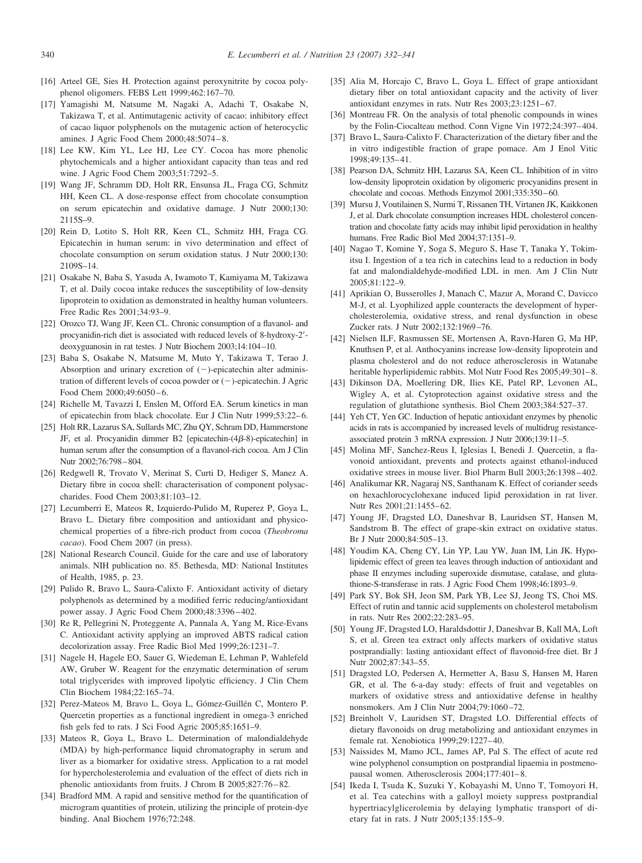- <span id="page-8-0"></span>[16] Arteel GE, Sies H. Protection against peroxynitrite by cocoa polyphenol oligomers. FEBS Lett 1999;462:167–70.
- [17] Yamagishi M, Natsume M, Nagaki A, Adachi T, Osakabe N, Takizawa T, et al. Antimutagenic activity of cacao: inhibitory effect of cacao liquor polyphenols on the mutagenic action of heterocyclic amines. J Agric Food Chem 2000;48:5074 – 8.
- [18] Lee KW, Kim YL, Lee HJ, Lee CY. Cocoa has more phenolic phytochemicals and a higher antioxidant capacity than teas and red wine. J Agric Food Chem 2003;51:7292–5.
- [19] Wang JF, Schramm DD, Holt RR, Ensunsa JL, Fraga CG, Schmitz HH, Keen CL. A dose-response effect from chocolate consumption on serum epicatechin and oxidative damage. J Nutr 2000;130: 2115S–9.
- [20] Rein D, Lotito S, Holt RR, Keen CL, Schmitz HH, Fraga CG. Epicatechin in human serum: in vivo determination and effect of chocolate consumption on serum oxidation status. J Nutr 2000;130: 2109S–14.
- [21] Osakabe N, Baba S, Yasuda A, Iwamoto T, Kamiyama M, Takizawa T, et al. Daily cocoa intake reduces the susceptibility of low-density lipoprotein to oxidation as demonstrated in healthy human volunteers. Free Radic Res 2001;34:93–9.
- [22] Orozco TJ, Wang JF, Keen CL. Chronic consumption of a flavanol- and procyanidin-rich diet is associated with reduced levels of 8-hydroxy-2'deoxyguanosin in rat testes. J Nutr Biochem 2003;14:104 –10.
- [23] Baba S, Osakabe N, Matsume M, Muto Y, Takizawa T, Terao J. Absorption and urinary excretion of  $(-)$ -epicatechin alter administration of different levels of cocoa powder or  $(-)$ -epicatechin. J Agric Food Chem 2000;49:6050-6.
- [24] Richelle M, Tavazzi I, Enslen M, Offord EA. Serum kinetics in man of epicatechin from black chocolate. Eur J Clin Nutr 1999;53:22– 6.
- [25] Holt RR, Lazarus SA, Sullards MC, Zhu QY, Schram DD, Hammerstone JF, et al. Procyanidin dimmer B2 [epicatechin-(4ß-8)-epicatechin] in human serum after the consumption of a flavanol-rich cocoa. Am J Clin Nutr 2002;76:798 – 804.
- [26] Redgwell R, Trovato V, Merinat S, Curti D, Hediger S, Manez A. Dietary fibre in cocoa shell: characterisation of component polysaccharides. Food Chem 2003;81:103–12.
- [27] Lecumberri E, Mateos R, Izquierdo-Pulido M, Ruperez P, Goya L, Bravo L. Dietary fibre composition and antioxidant and physicochemical properties of a fibre-rich product from cocoa (*Theobroma cacao*). Food Chem 2007 (in press).
- [28] National Research Council. Guide for the care and use of laboratory animals. NIH publication no. 85. Bethesda, MD: National Institutes of Health, 1985, p. 23.
- [29] Pulido R, Bravo L, Saura-Calixto F. Antioxidant activity of dietary polyphenols as determined by a modified ferric reducing/antioxidant power assay. J Agric Food Chem 2000;48:3396 – 402.
- [30] Re R, Pellegrini N, Proteggente A, Pannala A, Yang M, Rice-Evans C. Antioxidant activity applying an improved ABTS radical cation decolorization assay. Free Radic Biol Med 1999;26:1231–7.
- [31] Nagele H, Hagele EO, Sauer G, Wiedeman E, Lehman P, Wahlefeld AW, Gruber W. Reagent for the enzymatic determination of serum total triglycerides with improved lipolytic efficiency. J Clin Chem Clin Biochem 1984;22:165–74.
- [32] Perez-Mateos M, Bravo L, Goya L, Gómez-Guillén C, Montero P. Quercetin properties as a functional ingredient in omega-3 enriched fish gels fed to rats. J Sci Food Agric 2005;85:1651–9.
- [33] Mateos R, Goya L, Bravo L. Determination of malondialdehyde (MDA) by high-performance liquid chromatography in serum and liver as a biomarker for oxidative stress. Application to a rat model for hypercholesterolemia and evaluation of the effect of diets rich in phenolic antioxidants from fruits. J Chrom B 2005;827:76 – 82.
- [34] Bradford MM. A rapid and sensitive method for the quantification of microgram quantities of protein, utilizing the principle of protein-dye binding. Anal Biochem 1976;72:248.
- [35] Alia M, Horcajo C, Bravo L, Goya L. Effect of grape antioxidant dietary fiber on total antioxidant capacity and the activity of liver antioxidant enzymes in rats. Nutr Res 2003;23:1251-67.
- [36] Montreau FR. On the analysis of total phenolic compounds in wines by the Folin-Ciocalteau method. Conn Vigne Vin 1972;24:397– 404.
- [37] Bravo L, Saura-Calixto F. Characterization of the dietary fiber and the in vitro indigestible fraction of grape pomace. Am J Enol Vitic 1998;49:135– 41.
- [38] Pearson DA, Schmitz HH, Lazarus SA, Keen CL. Inhibition of in vitro low-density lipoprotein oxidation by oligomeric procyanidins present in chocolate and cocoas. Methods Enzymol 2001;335:350 – 60.
- [39] Mursu J, Voutilainen S, Nurmi T, Rissanen TH, Virtanen JK, Kaikkonen J, et al. Dark chocolate consumption increases HDL cholesterol concentration and chocolate fatty acids may inhibit lipid peroxidation in healthy humans. Free Radic Biol Med 2004;37:1351–9.
- [40] Nagao T, Komine Y, Soga S, Meguro S, Hase T, Tanaka Y, Tokimitsu I. Ingestion of a tea rich in catechins lead to a reduction in body fat and malondialdehyde-modified LDL in men. Am J Clin Nutr 2005;81:122–9.
- [41] Aprikian O, Busserolles J, Manach C, Mazur A, Morand C, Davicco M-J, et al. Lyophilized apple counteracts the development of hypercholesterolemia, oxidative stress, and renal dysfunction in obese Zucker rats. J Nutr 2002;132:1969 –76.
- [42] Nielsen ILF, Rasmussen SE, Mortensen A, Ravn-Haren G, Ma HP, Knuthsen P, et al. Anthocyanins increase low-density lipoprotein and plasma cholesterol and do not reduce atherosclerosis in Watanabe heritable hyperlipidemic rabbits. Mol Nutr Food Res 2005;49:301-8.
- [43] Dikinson DA, Moellering DR, Ilies KE, Patel RP, Levonen AL, Wigley A, et al. Cytoprotection against oxidative stress and the regulation of glutathione synthesis. Biol Chem 2003;384:527–37.
- [44] Yeh CT, Yen GC. Induction of hepatic antioxidant enzymes by phenolic acids in rats is accompanied by increased levels of multidrug resistanceassociated protein 3 mRNA expression. J Nutr 2006;139:11–5.
- [45] Molina MF, Sanchez-Reus I, Iglesias I, Benedi J. Quercetin, a flavonoid antioxidant, prevents and protects against ethanol-induced oxidative strees in mouse liver. Biol Pharm Bull 2003;26:1398 – 402.
- [46] Analikumar KR, Nagaraj NS, Santhanam K. Effect of coriander seeds on hexachlorocyclohexane induced lipid peroxidation in rat liver. Nutr Res 2001;21:1455–62.
- [47] Young JF, Dragsted LO, Daneshvar B, Lauridsen ST, Hansen M, Sandstrom B. The effect of grape-skin extract on oxidative status. Br J Nutr 2000;84:505–13.
- [48] Youdim KA, Cheng CY, Lin YP, Lau YW, Juan IM, Lin JK. Hypolipidemic effect of green tea leaves through induction of antioxidant and phase II enzymes including superoxide dismutase, catalase, and glutathione-S-transferase in rats. J Agric Food Chem 1998;46:1893–9.
- [49] Park SY, Bok SH, Jeon SM, Park YB, Lee SJ, Jeong TS, Choi MS. Effect of rutin and tannic acid supplements on cholesterol metabolism in rats. Nutr Res 2002;22:283–95.
- [50] Young JF, Dragsted LO, Haraldsdottir J, Daneshvar B, Kall MA, Loft S, et al. Green tea extract only affects markers of oxidative status postprandially: lasting antioxidant effect of flavonoid-free diet. Br J Nutr 2002;87:343–55.
- [51] Dragsted LO, Pedersen A, Hermetter A, Basu S, Hansen M, Haren GR, et al. The 6-a-day study: effects of fruit and vegetables on markers of oxidative stress and antioxidative defense in healthy nonsmokers. Am J Clin Nutr 2004;79:1060 –72.
- [52] Breinholt V, Lauridsen ST, Dragsted LO. Differential effects of dietary flavonoids on drug metabolizing and antioxidant enzymes in female rat. Xenobiotica 1999;29:1227– 40.
- [53] Naissides M, Mamo JCL, James AP, Pal S. The effect of acute red wine polyphenol consumption on postprandial lipaemia in postmenopausal women. Atherosclerosis 2004;177:401-8.
- [54] Ikeda I, Tsuda K, Suzuki Y, Kobayashi M, Unno T, Tomoyori H, et al. Tea catechins with a galloyl moiety suppress postprandial hypertriacylglicerolemia by delaying lymphatic transport of dietary fat in rats. J Nutr 2005;135:155–9.